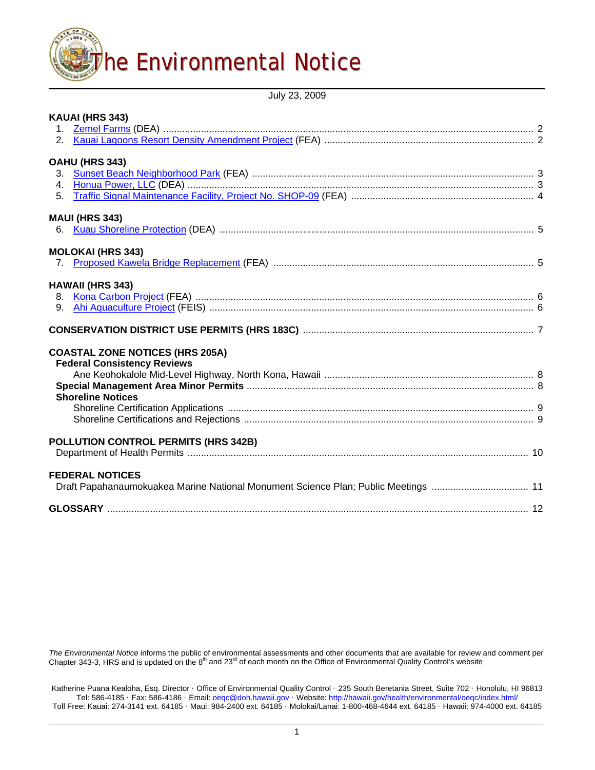

July 23, 2009

| KAUAI (HRS 343)                                                                    |  |
|------------------------------------------------------------------------------------|--|
|                                                                                    |  |
|                                                                                    |  |
| OAHU (HRS 343)                                                                     |  |
|                                                                                    |  |
|                                                                                    |  |
|                                                                                    |  |
| <b>MAUI (HRS 343)</b>                                                              |  |
| 6.                                                                                 |  |
| <b>MOLOKAI (HRS 343)</b>                                                           |  |
|                                                                                    |  |
| <b>HAWAII (HRS 343)</b>                                                            |  |
|                                                                                    |  |
| 9.                                                                                 |  |
|                                                                                    |  |
| <b>COASTAL ZONE NOTICES (HRS 205A)</b>                                             |  |
| <b>Federal Consistency Reviews</b>                                                 |  |
|                                                                                    |  |
|                                                                                    |  |
| <b>Shoreline Notices</b>                                                           |  |
|                                                                                    |  |
|                                                                                    |  |
| POLLUTION CONTROL PERMITS (HRS 342B)                                               |  |
|                                                                                    |  |
| <b>FEDERAL NOTICES</b>                                                             |  |
| Draft Papahanaumokuakea Marine National Monument Science Plan; Public Meetings  11 |  |
|                                                                                    |  |
|                                                                                    |  |

The Environmental Notice informs the public of environmental assessments and other documents that are available for review and comment per<br>Chapter 343-3, HRS and is updated on the 8<sup>th</sup> and 23<sup>rd</sup> of each month on the Offi

Katherine Puana Kealoha, Esq. Director · Office of Environmental Quality Control · 235 South Beretania Street, Suite 702 · Honolulu, HI 96813 Tel: 586-4185 · Fax: 586-4186 · Email: [oeqc@doh.hawaii.gov](mailto:oeqc@doh.hawaii.gov) · Website: <http://hawaii.gov/health/environmental/oeqc/index.html/> Toll Free: Kauai: 274-3141 ext. 64185 · Maui: 984-2400 ext. 64185 · Molokai/Lanai: 1-800-468-4644 ext. 64185 · Hawaii: 974-4000 ext. 64185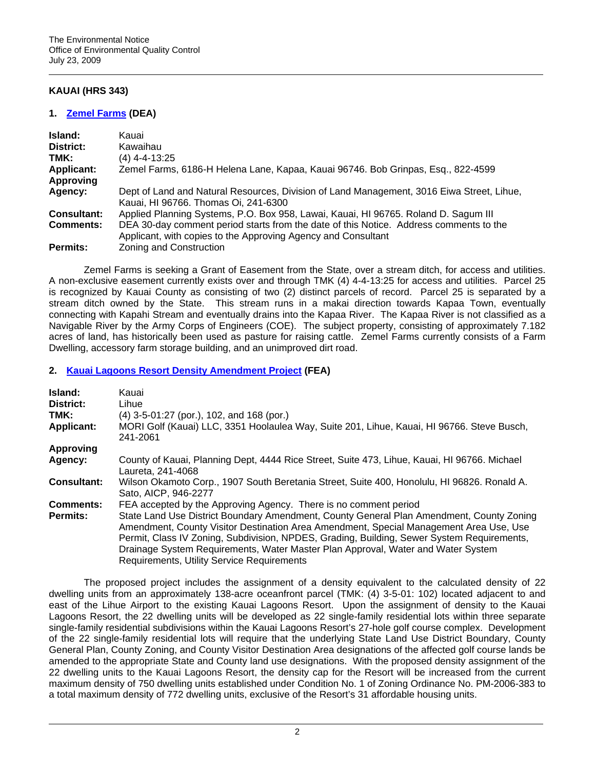# **KAUAI (HRS 343)**

## **1. [Zemel Farms](http://oeqc.doh.hawaii.gov/Shared%20Documents/EA_and_EIS_Online_Library/Kauai/2000s/2009-07-23-KA-DEA-Zemel-Farms.pdf) (DEA)**

| Island:            | Kauai                                                                                                                                                   |
|--------------------|---------------------------------------------------------------------------------------------------------------------------------------------------------|
| District:          | Kawaihau                                                                                                                                                |
| TMK:               | $(4)$ 4-4-13:25                                                                                                                                         |
| <b>Applicant:</b>  | Zemel Farms, 6186-H Helena Lane, Kapaa, Kauai 96746. Bob Grinpas, Esq., 822-4599                                                                        |
| Approving          |                                                                                                                                                         |
| Agency:            | Dept of Land and Natural Resources, Division of Land Management, 3016 Eiwa Street, Lihue,<br>Kauai, HI 96766. Thomas Oi, 241-6300                       |
| <b>Consultant:</b> | Applied Planning Systems, P.O. Box 958, Lawai, Kauai, HI 96765. Roland D. Sagum III                                                                     |
| <b>Comments:</b>   | DEA 30-day comment period starts from the date of this Notice. Address comments to the<br>Applicant, with copies to the Approving Agency and Consultant |
| Permits:           | Zoning and Construction                                                                                                                                 |

Zemel Farms is seeking a Grant of Easement from the State, over a stream ditch, for access and utilities. A non-exclusive easement currently exists over and through TMK (4) 4-4-13:25 for access and utilities. Parcel 25 is recognized by Kauai County as consisting of two (2) distinct parcels of record. Parcel 25 is separated by a stream ditch owned by the State. This stream runs in a makai direction towards Kapaa Town, eventually connecting with Kapahi Stream and eventually drains into the Kapaa River. The Kapaa River is not classified as a Navigable River by the Army Corps of Engineers (COE). The subject property, consisting of approximately 7.182 acres of land, has historically been used as pasture for raising cattle. Zemel Farms currently consists of a Farm Dwelling, accessory farm storage building, and an unimproved dirt road.

# **2. [Kauai Lagoons Resort Density Amendment Project](http://oeqc.doh.hawaii.gov/Shared%20Documents/EA_and_EIS_Online_Library/Kauai/2000s/2009-07-23-KA-FEA-Kauai-Lagoons-Resort.pdf) (FEA)**

| Island:<br>District:<br>TMK:<br><b>Applicant:</b> | Kauai<br>Lihue<br>(4) 3-5-01:27 (por.), 102, and 168 (por.)<br>MORI Golf (Kauai) LLC, 3351 Hoolaulea Way, Suite 201, Lihue, Kauai, HI 96766. Steve Busch,<br>241-2061                                                                                                                                                                                                                                              |  |
|---------------------------------------------------|--------------------------------------------------------------------------------------------------------------------------------------------------------------------------------------------------------------------------------------------------------------------------------------------------------------------------------------------------------------------------------------------------------------------|--|
| <b>Approving</b>                                  |                                                                                                                                                                                                                                                                                                                                                                                                                    |  |
| Agency:                                           | County of Kauai, Planning Dept, 4444 Rice Street, Suite 473, Lihue, Kauai, HI 96766. Michael<br>Laureta, 241-4068                                                                                                                                                                                                                                                                                                  |  |
| <b>Consultant:</b>                                | Wilson Okamoto Corp., 1907 South Beretania Street, Suite 400, Honolulu, HI 96826. Ronald A.<br>Sato, AICP, 946-2277                                                                                                                                                                                                                                                                                                |  |
| <b>Comments:</b>                                  | FEA accepted by the Approving Agency. There is no comment period                                                                                                                                                                                                                                                                                                                                                   |  |
| <b>Permits:</b>                                   | State Land Use District Boundary Amendment, County General Plan Amendment, County Zoning<br>Amendment, County Visitor Destination Area Amendment, Special Management Area Use, Use<br>Permit, Class IV Zoning, Subdivision, NPDES, Grading, Building, Sewer System Requirements,<br>Drainage System Requirements, Water Master Plan Approval, Water and Water System<br>Requirements, Utility Service Requirements |  |

The proposed project includes the assignment of a density equivalent to the calculated density of 22 dwelling units from an approximately 138-acre oceanfront parcel (TMK: (4) 3-5-01: 102) located adjacent to and east of the Lihue Airport to the existing Kauai Lagoons Resort. Upon the assignment of density to the Kauai Lagoons Resort, the 22 dwelling units will be developed as 22 single-family residential lots within three separate single-family residential subdivisions within the Kauai Lagoons Resort's 27-hole golf course complex. Development of the 22 single-family residential lots will require that the underlying State Land Use District Boundary, County General Plan, County Zoning, and County Visitor Destination Area designations of the affected golf course lands be amended to the appropriate State and County land use designations. With the proposed density assignment of the 22 dwelling units to the Kauai Lagoons Resort, the density cap for the Resort will be increased from the current maximum density of 750 dwelling units established under Condition No. 1 of Zoning Ordinance No. PM-2006-383 to a total maximum density of 772 dwelling units, exclusive of the Resort's 31 affordable housing units.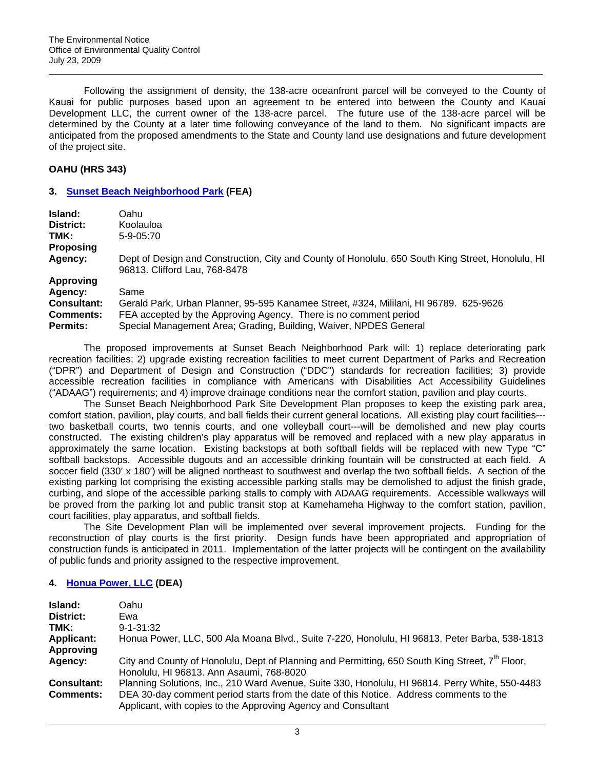Following the assignment of density, the 138-acre oceanfront parcel will be conveyed to the County of Kauai for public purposes based upon an agreement to be entered into between the County and Kauai Development LLC, the current owner of the 138-acre parcel. The future use of the 138-acre parcel will be determined by the County at a later time following conveyance of the land to them. No significant impacts are anticipated from the proposed amendments to the State and County land use designations and future development of the project site.

## **OAHU (HRS 343)**

### **3. [Sunset Beach Neighborhood Park](http://oeqc.doh.hawaii.gov/Shared%20Documents/EA_and_EIS_Online_Library/Oahu/2000s/2009-07-23-OA-FEA-Sunset-Beach-Park.pdf) (FEA)**

| Island:            | Oahu                                                                                                                               |
|--------------------|------------------------------------------------------------------------------------------------------------------------------------|
| District:          | Koolauloa                                                                                                                          |
| TMK:               | $5-9-05:70$                                                                                                                        |
| <b>Proposing</b>   |                                                                                                                                    |
| Agency:            | Dept of Design and Construction, City and County of Honolulu, 650 South King Street, Honolulu, HI<br>96813. Clifford Lau, 768-8478 |
| <b>Approving</b>   |                                                                                                                                    |
| Agency:            | Same                                                                                                                               |
| <b>Consultant:</b> | Gerald Park, Urban Planner, 95-595 Kanamee Street, #324, Mililani, HI 96789. 625-9626                                              |
| <b>Comments:</b>   | FEA accepted by the Approving Agency. There is no comment period                                                                   |
| <b>Permits:</b>    | Special Management Area; Grading, Building, Waiver, NPDES General                                                                  |

The proposed improvements at Sunset Beach Neighborhood Park will: 1) replace deteriorating park recreation facilities; 2) upgrade existing recreation facilities to meet current Department of Parks and Recreation ("DPR") and Department of Design and Construction ("DDC") standards for recreation facilities; 3) provide accessible recreation facilities in compliance with Americans with Disabilities Act Accessibility Guidelines ("ADAAG") requirements; and 4) improve drainage conditions near the comfort station, pavilion and play courts.

The Sunset Beach Neighborhood Park Site Development Plan proposes to keep the existing park area, comfort station, pavilion, play courts, and ball fields their current general locations. All existing play court facilities-- two basketball courts, two tennis courts, and one volleyball court---will be demolished and new play courts constructed. The existing children's play apparatus will be removed and replaced with a new play apparatus in approximately the same location. Existing backstops at both softball fields will be replaced with new Type "C" softball backstops. Accessible dugouts and an accessible drinking fountain will be constructed at each field. A soccer field (330' x 180') will be aligned northeast to southwest and overlap the two softball fields. A section of the existing parking lot comprising the existing accessible parking stalls may be demolished to adjust the finish grade, curbing, and slope of the accessible parking stalls to comply with ADAAG requirements. Accessible walkways will be proved from the parking lot and public transit stop at Kamehameha Highway to the comfort station, pavilion, court facilities, play apparatus, and softball fields.

The Site Development Plan will be implemented over several improvement projects. Funding for the reconstruction of play courts is the first priority. Design funds have been appropriated and appropriation of construction funds is anticipated in 2011. Implementation of the latter projects will be contingent on the availability of public funds and priority assigned to the respective improvement.

# **4. [Honua Power, LLC](http://oeqc.doh.hawaii.gov/Shared%20Documents/EA_and_EIS_Online_Library/Oahu/2000s/2009-07-23-OA-DEA-Honua-Power.pdf) (DEA)**

| Island:            | Oahu                                                                                                                                                    |
|--------------------|---------------------------------------------------------------------------------------------------------------------------------------------------------|
| District:          | Ewa                                                                                                                                                     |
| TMK:               | $9 - 1 - 31:32$                                                                                                                                         |
| <b>Applicant:</b>  | Honua Power, LLC, 500 Ala Moana Blvd., Suite 7-220, Honolulu, HI 96813. Peter Barba, 538-1813                                                           |
| Approving          |                                                                                                                                                         |
| Agency:            | City and County of Honolulu, Dept of Planning and Permitting, 650 South King Street, $7th$ Floor,<br>Honolulu, HI 96813. Ann Asaumi, 768-8020           |
| <b>Consultant:</b> | Planning Solutions, Inc., 210 Ward Avenue, Suite 330, Honolulu, HI 96814. Perry White, 550-4483                                                         |
| <b>Comments:</b>   | DEA 30-day comment period starts from the date of this Notice. Address comments to the<br>Applicant, with copies to the Approving Agency and Consultant |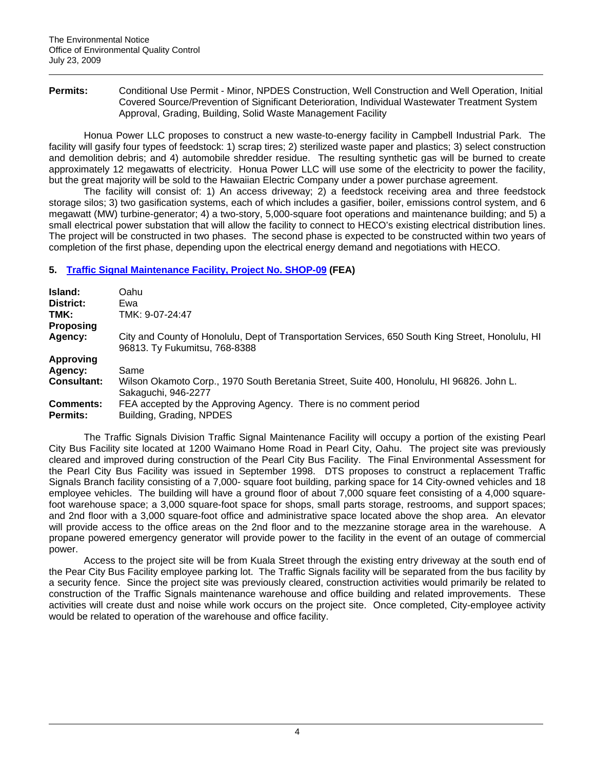Permits: Conditional Use Permit - Minor, NPDES Construction, Well Construction and Well Operation, Initial Covered Source/Prevention of Significant Deterioration, Individual Wastewater Treatment System Approval, Grading, Building, Solid Waste Management Facility

Honua Power LLC proposes to construct a new waste-to-energy facility in Campbell Industrial Park. The facility will gasify four types of feedstock: 1) scrap tires; 2) sterilized waste paper and plastics; 3) select construction and demolition debris; and 4) automobile shredder residue. The resulting synthetic gas will be burned to create approximately 12 megawatts of electricity. Honua Power LLC will use some of the electricity to power the facility, but the great majority will be sold to the Hawaiian Electric Company under a power purchase agreement.

The facility will consist of: 1) An access driveway; 2) a feedstock receiving area and three feedstock storage silos; 3) two gasification systems, each of which includes a gasifier, boiler, emissions control system, and 6 megawatt (MW) turbine-generator; 4) a two-story, 5,000-square foot operations and maintenance building; and 5) a small electrical power substation that will allow the facility to connect to HECO's existing electrical distribution lines. The project will be constructed in two phases. The second phase is expected to be constructed within two years of completion of the first phase, depending upon the electrical energy demand and negotiations with HECO.

# **5. [Traffic Signal Maintenance Facility, Project No. SHOP-09](http://oeqc.doh.hawaii.gov/Shared%20Documents/EA_and_EIS_Online_Library/Oahu/2000s/2009-07-23-OA-FEA-Traffic-Signal-Maint-Facility.pdf) (FEA)**

| Island:            | Oahu                                                                                                                               |  |
|--------------------|------------------------------------------------------------------------------------------------------------------------------------|--|
| District:          | Ewa                                                                                                                                |  |
| TMK:               | TMK: 9-07-24:47                                                                                                                    |  |
| <b>Proposing</b>   |                                                                                                                                    |  |
| Agency:            | City and County of Honolulu, Dept of Transportation Services, 650 South King Street, Honolulu, HI<br>96813. Ty Fukumitsu, 768-8388 |  |
| <b>Approving</b>   |                                                                                                                                    |  |
| Agency:            | Same                                                                                                                               |  |
| <b>Consultant:</b> | Wilson Okamoto Corp., 1970 South Beretania Street, Suite 400, Honolulu, HI 96826. John L.<br>Sakaguchi, 946-2277                   |  |
| <b>Comments:</b>   | FEA accepted by the Approving Agency. There is no comment period                                                                   |  |
| <b>Permits:</b>    | Building, Grading, NPDES                                                                                                           |  |

The Traffic Signals Division Traffic Signal Maintenance Facility will occupy a portion of the existing Pearl City Bus Facility site located at 1200 Waimano Home Road in Pearl City, Oahu. The project site was previously cleared and improved during construction of the Pearl City Bus Facility. The Final Environmental Assessment for the Pearl City Bus Facility was issued in September 1998. DTS proposes to construct a replacement Traffic Signals Branch facility consisting of a 7,000- square foot building, parking space for 14 City-owned vehicles and 18 employee vehicles. The building will have a ground floor of about 7,000 square feet consisting of a 4,000 squarefoot warehouse space; a 3,000 square-foot space for shops, small parts storage, restrooms, and support spaces; and 2nd floor with a 3,000 square-foot office and administrative space located above the shop area. An elevator will provide access to the office areas on the 2nd floor and to the mezzanine storage area in the warehouse. A propane powered emergency generator will provide power to the facility in the event of an outage of commercial power.

Access to the project site will be from Kuala Street through the existing entry driveway at the south end of the Pear City Bus Facility employee parking lot. The Traffic Signals facility will be separated from the bus facility by a security fence. Since the project site was previously cleared, construction activities would primarily be related to construction of the Traffic Signals maintenance warehouse and office building and related improvements. These activities will create dust and noise while work occurs on the project site. Once completed, City-employee activity would be related to operation of the warehouse and office facility.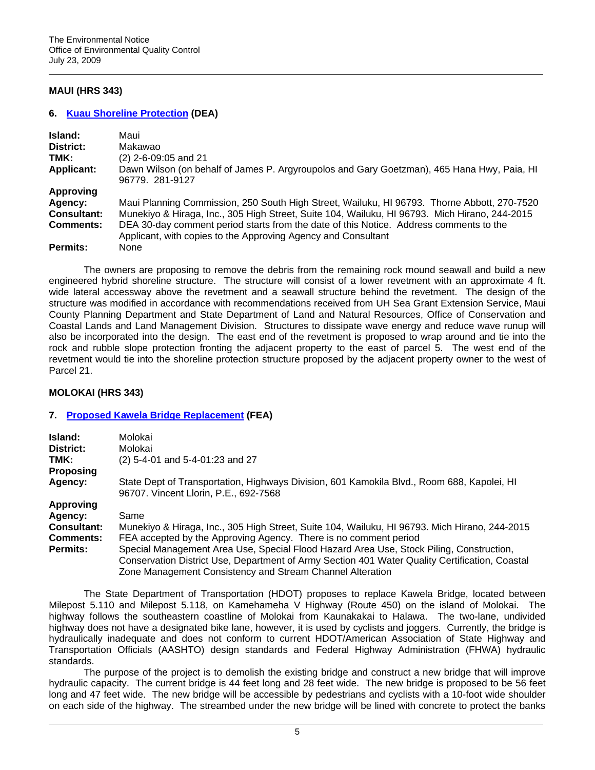# **MAUI (HRS 343)**

## **6. [Kuau Shoreline Protection](http://oeqc.doh.hawaii.gov/Shared%20Documents/EA_and_EIS_Online_Library/Maui/2000s/2009-07-23-MA-DEA-Kuau-Shoreline-Protection.pdf) (DEA)**

| Island:            | Maui                                                                                                                                                    |
|--------------------|---------------------------------------------------------------------------------------------------------------------------------------------------------|
| District:          | Makawao                                                                                                                                                 |
| TMK:               | $(2)$ 2-6-09:05 and 21                                                                                                                                  |
| <b>Applicant:</b>  | Dawn Wilson (on behalf of James P. Argyroupolos and Gary Goetzman), 465 Hana Hwy, Paia, HI<br>96779. 281-9127                                           |
| Approving          |                                                                                                                                                         |
| Agency:            | Maui Planning Commission, 250 South High Street, Wailuku, HI 96793. Thorne Abbott, 270-7520                                                             |
| <b>Consultant:</b> | Munekiyo & Hiraga, Inc., 305 High Street, Suite 104, Wailuku, HI 96793. Mich Hirano, 244-2015                                                           |
| <b>Comments:</b>   | DEA 30-day comment period starts from the date of this Notice. Address comments to the<br>Applicant, with copies to the Approving Agency and Consultant |
| <b>Permits:</b>    | None                                                                                                                                                    |

The owners are proposing to remove the debris from the remaining rock mound seawall and build a new engineered hybrid shoreline structure. The structure will consist of a lower revetment with an approximate 4 ft. wide lateral accessway above the revetment and a seawall structure behind the revetment. The design of the structure was modified in accordance with recommendations received from UH Sea Grant Extension Service, Maui County Planning Department and State Department of Land and Natural Resources, Office of Conservation and Coastal Lands and Land Management Division. Structures to dissipate wave energy and reduce wave runup will also be incorporated into the design. The east end of the revetment is proposed to wrap around and tie into the rock and rubble slope protection fronting the adjacent property to the east of parcel 5. The west end of the revetment would tie into the shoreline protection structure proposed by the adjacent property owner to the west of Parcel 21.

# **MOLOKAI (HRS 343)**

#### **7. [Proposed Kawela Bridge Replacement](http://oeqc.doh.hawaii.gov/Shared%20Documents/EA_and_EIS_Online_Library/Molokai/2000s/2009-07-23-MO-FEA-Kawela-Bridge-Replacement.pdf) (FEA)**

| Island:<br>District:                   | Molokai<br>Molokai                                                                                                                                                                                                                                     |  |
|----------------------------------------|--------------------------------------------------------------------------------------------------------------------------------------------------------------------------------------------------------------------------------------------------------|--|
| TMK:<br>Proposing                      | (2) 5-4-01 and 5-4-01:23 and 27                                                                                                                                                                                                                        |  |
| Agency:                                | State Dept of Transportation, Highways Division, 601 Kamokila Blvd., Room 688, Kapolei, HI<br>96707. Vincent Llorin, P.E., 692-7568                                                                                                                    |  |
| <b>Approving</b>                       |                                                                                                                                                                                                                                                        |  |
| Agency:                                | Same                                                                                                                                                                                                                                                   |  |
| <b>Consultant:</b><br><b>Comments:</b> | Munekiyo & Hiraga, Inc., 305 High Street, Suite 104, Wailuku, HI 96793. Mich Hirano, 244-2015<br>FEA accepted by the Approving Agency. There is no comment period                                                                                      |  |
| Permits:                               | Special Management Area Use, Special Flood Hazard Area Use, Stock Piling, Construction,<br>Conservation District Use, Department of Army Section 401 Water Quality Certification, Coastal<br>Zone Management Consistency and Stream Channel Alteration |  |

The State Department of Transportation (HDOT) proposes to replace Kawela Bridge, located between Milepost 5.110 and Milepost 5.118, on Kamehameha V Highway (Route 450) on the island of Molokai. The highway follows the southeastern coastline of Molokai from Kaunakakai to Halawa. The two-lane, undivided highway does not have a designated bike lane, however, it is used by cyclists and joggers. Currently, the bridge is hydraulically inadequate and does not conform to current HDOT/American Association of State Highway and Transportation Officials (AASHTO) design standards and Federal Highway Administration (FHWA) hydraulic standards.

The purpose of the project is to demolish the existing bridge and construct a new bridge that will improve hydraulic capacity. The current bridge is 44 feet long and 28 feet wide. The new bridge is proposed to be 56 feet long and 47 feet wide. The new bridge will be accessible by pedestrians and cyclists with a 10-foot wide shoulder on each side of the highway. The streambed under the new bridge will be lined with concrete to protect the banks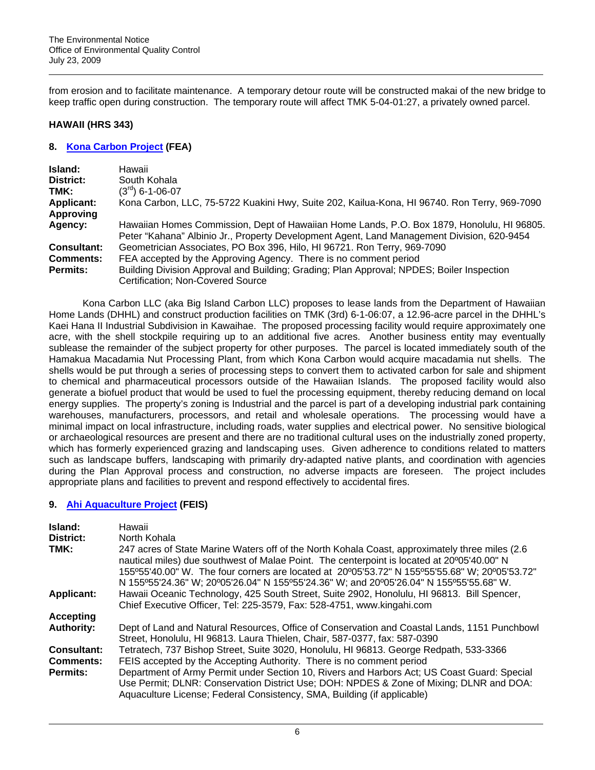from erosion and to facilitate maintenance. A temporary detour route will be constructed makai of the new bridge to keep traffic open during construction. The temporary route will affect TMK 5-04-01:27, a privately owned parcel.

### **HAWAII (HRS 343)**

## **8. [Kona Carbon Project](http://oeqc.doh.hawaii.gov/Shared%20Documents/EA_and_EIS_Online_Library/Hawaii/2000s/2009-07-23-HA-FEA-Kona-Carbon.pdf) (FEA)**

| Island:           | Hawaii                                                                                                                                                                                   |
|-------------------|------------------------------------------------------------------------------------------------------------------------------------------------------------------------------------------|
| District:         | South Kohala                                                                                                                                                                             |
| TMK:              | $(3^{rd})$ 6-1-06-07                                                                                                                                                                     |
| <b>Applicant:</b> | Kona Carbon, LLC, 75-5722 Kuakini Hwy, Suite 202, Kailua-Kona, HI 96740. Ron Terry, 969-7090                                                                                             |
| <b>Approving</b>  |                                                                                                                                                                                          |
| Agency:           | Hawaiian Homes Commission, Dept of Hawaiian Home Lands, P.O. Box 1879, Honolulu, HI 96805.<br>Peter "Kahana" Albinio Jr., Property Development Agent, Land Management Division, 620-9454 |
| Consultant:       | Geometrician Associates, PO Box 396, Hilo, HI 96721. Ron Terry, 969-7090                                                                                                                 |
| <b>Comments:</b>  | FEA accepted by the Approving Agency. There is no comment period                                                                                                                         |
| <b>Permits:</b>   | Building Division Approval and Building; Grading; Plan Approval; NPDES; Boiler Inspection                                                                                                |
|                   | Certification; Non-Covered Source                                                                                                                                                        |

Kona Carbon LLC (aka Big Island Carbon LLC) proposes to lease lands from the Department of Hawaiian Home Lands (DHHL) and construct production facilities on TMK (3rd) 6-1-06:07, a 12.96-acre parcel in the DHHL's Kaei Hana II Industrial Subdivision in Kawaihae. The proposed processing facility would require approximately one acre, with the shell stockpile requiring up to an additional five acres. Another business entity may eventually sublease the remainder of the subject property for other purposes. The parcel is located immediately south of the Hamakua Macadamia Nut Processing Plant, from which Kona Carbon would acquire macadamia nut shells. The shells would be put through a series of processing steps to convert them to activated carbon for sale and shipment to chemical and pharmaceutical processors outside of the Hawaiian Islands. The proposed facility would also generate a biofuel product that would be used to fuel the processing equipment, thereby reducing demand on local energy supplies. The property's zoning is Industrial and the parcel is part of a developing industrial park containing warehouses, manufacturers, processors, and retail and wholesale operations. The processing would have a minimal impact on local infrastructure, including roads, water supplies and electrical power. No sensitive biological or archaeological resources are present and there are no traditional cultural uses on the industrially zoned property, which has formerly experienced grazing and landscaping uses. Given adherence to conditions related to matters such as landscape buffers, landscaping with primarily dry-adapted native plants, and coordination with agencies during the Plan Approval process and construction, no adverse impacts are foreseen. The project includes appropriate plans and facilities to prevent and respond effectively to accidental fires.

# **9. [Ahi Aquaculture Project](http://oeqc.doh.hawaii.gov/Shared%20Documents/EA_and_EIS_Online_Library/Hawaii/2000s/2009-07-23-HA-FEIS-Ahi-Aquaculture-Kohala.pdf) (FEIS)**

| Island:            | Hawaii                                                                                                                                                                                                                                                                                                                                                                                   |  |
|--------------------|------------------------------------------------------------------------------------------------------------------------------------------------------------------------------------------------------------------------------------------------------------------------------------------------------------------------------------------------------------------------------------------|--|
| District:          | North Kohala                                                                                                                                                                                                                                                                                                                                                                             |  |
| TMK:               | 247 acres of State Marine Waters off of the North Kohala Coast, approximately three miles (2.6)<br>nautical miles) due southwest of Malae Point. The centerpoint is located at 20°05'40.00" N<br>155°55'40.00" W. The four corners are located at 20°05'53.72" N 155°55'55.68" W; 20°05'53.72"<br>N 155°55'24.36" W; 20°05'26.04" N 155°55'24.36" W; and 20°05'26.04" N 155°55'55.68" W. |  |
| <b>Applicant:</b>  | Hawaii Oceanic Technology, 425 South Street, Suite 2902, Honolulu, HI 96813. Bill Spencer,<br>Chief Executive Officer, Tel: 225-3579, Fax: 528-4751, www.kingahi.com                                                                                                                                                                                                                     |  |
| Accepting          |                                                                                                                                                                                                                                                                                                                                                                                          |  |
| <b>Authority:</b>  | Dept of Land and Natural Resources, Office of Conservation and Coastal Lands, 1151 Punchbowl<br>Street, Honolulu, HI 96813. Laura Thielen, Chair, 587-0377, fax: 587-0390                                                                                                                                                                                                                |  |
| <b>Consultant:</b> | Tetratech, 737 Bishop Street, Suite 3020, Honolulu, HI 96813. George Redpath, 533-3366                                                                                                                                                                                                                                                                                                   |  |
| <b>Comments:</b>   | FEIS accepted by the Accepting Authority. There is no comment period                                                                                                                                                                                                                                                                                                                     |  |
| <b>Permits:</b>    | Department of Army Permit under Section 10, Rivers and Harbors Act; US Coast Guard: Special<br>Use Permit; DLNR: Conservation District Use; DOH: NPDES & Zone of Mixing; DLNR and DOA:<br>Aquaculture License; Federal Consistency, SMA, Building (if applicable)                                                                                                                        |  |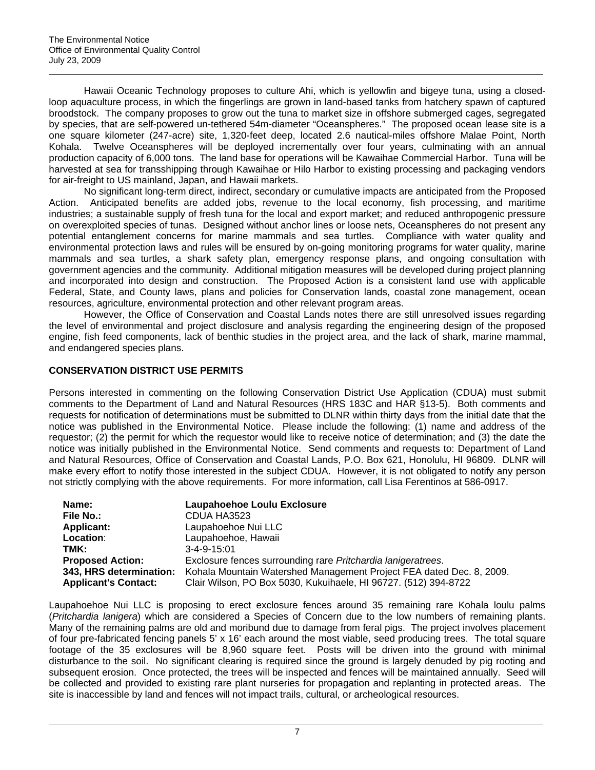Hawaii Oceanic Technology proposes to culture Ahi, which is yellowfin and bigeye tuna, using a closedloop aquaculture process, in which the fingerlings are grown in land-based tanks from hatchery spawn of captured broodstock. The company proposes to grow out the tuna to market size in offshore submerged cages, segregated by species, that are self-powered un-tethered 54m-diameter "Oceanspheres." The proposed ocean lease site is a one square kilometer (247-acre) site, 1,320-feet deep, located 2.6 nautical-miles offshore Malae Point, North Kohala. Twelve Oceanspheres will be deployed incrementally over four years, culminating with an annual production capacity of 6,000 tons. The land base for operations will be Kawaihae Commercial Harbor. Tuna will be harvested at sea for transshipping through Kawaihae or Hilo Harbor to existing processing and packaging vendors for air-freight to US mainland, Japan, and Hawaii markets.

No significant long-term direct, indirect, secondary or cumulative impacts are anticipated from the Proposed Action. Anticipated benefits are added jobs, revenue to the local economy, fish processing, and maritime industries; a sustainable supply of fresh tuna for the local and export market; and reduced anthropogenic pressure on overexploited species of tunas. Designed without anchor lines or loose nets, Oceanspheres do not present any potential entanglement concerns for marine mammals and sea turtles. Compliance with water quality and environmental protection laws and rules will be ensured by on-going monitoring programs for water quality, marine mammals and sea turtles, a shark safety plan, emergency response plans, and ongoing consultation with government agencies and the community. Additional mitigation measures will be developed during project planning and incorporated into design and construction. The Proposed Action is a consistent land use with applicable Federal, State, and County laws, plans and policies for Conservation lands, coastal zone management, ocean resources, agriculture, environmental protection and other relevant program areas.

However, the Office of Conservation and Coastal Lands notes there are still unresolved issues regarding the level of environmental and project disclosure and analysis regarding the engineering design of the proposed engine, fish feed components, lack of benthic studies in the project area, and the lack of shark, marine mammal, and endangered species plans.

# **CONSERVATION DISTRICT USE PERMITS**

Persons interested in commenting on the following Conservation District Use Application (CDUA) must submit comments to the Department of Land and Natural Resources (HRS 183C and HAR §13-5). Both comments and requests for notification of determinations must be submitted to DLNR within thirty days from the initial date that the notice was published in the Environmental Notice. Please include the following: (1) name and address of the requestor; (2) the permit for which the requestor would like to receive notice of determination; and (3) the date the notice was initially published in the Environmental Notice. Send comments and requests to: Department of Land and Natural Resources, Office of Conservation and Coastal Lands, P.O. Box 621, Honolulu, HI 96809. DLNR will make every effort to notify those interested in the subject CDUA. However, it is not obligated to notify any person not strictly complying with the above requirements. For more information, call Lisa Ferentinos at 586-0917.

| Name:                       | Laupahoehoe Loulu Exclosure                                          |
|-----------------------------|----------------------------------------------------------------------|
| <b>File No.:</b>            | CDUA HA3523                                                          |
| <b>Applicant:</b>           | Laupahoehoe Nui LLC                                                  |
| Location:                   | Laupahoehoe, Hawaii                                                  |
| TMK:                        | $3 - 4 - 9 - 15:01$                                                  |
| <b>Proposed Action:</b>     | Exclosure fences surrounding rare Pritchardia lanigeratrees.         |
| 343, HRS determination:     | Kohala Mountain Watershed Management Project FEA dated Dec. 8, 2009. |
| <b>Applicant's Contact:</b> | Clair Wilson, PO Box 5030, Kukuihaele, HI 96727. (512) 394-8722      |

Laupahoehoe Nui LLC is proposing to erect exclosure fences around 35 remaining rare Kohala loulu palms (*Pritchardia lanigera*) which are considered a Species of Concern due to the low numbers of remaining plants. Many of the remaining palms are old and moribund due to damage from feral pigs. The project involves placement of four pre-fabricated fencing panels 5' x 16' each around the most viable, seed producing trees. The total square footage of the 35 exclosures will be 8,960 square feet. Posts will be driven into the ground with minimal disturbance to the soil. No significant clearing is required since the ground is largely denuded by pig rooting and subsequent erosion. Once protected, the trees will be inspected and fences will be maintained annually. Seed will be collected and provided to existing rare plant nurseries for propagation and replanting in protected areas. The site is inaccessible by land and fences will not impact trails, cultural, or archeological resources.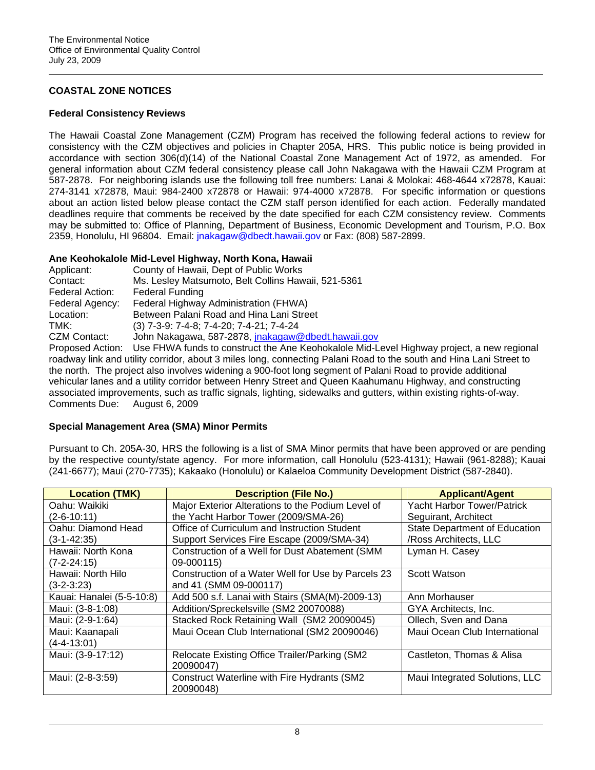# **COASTAL ZONE NOTICES**

### **Federal Consistency Reviews**

The Hawaii Coastal Zone Management (CZM) Program has received the following federal actions to review for consistency with the CZM objectives and policies in Chapter 205A, HRS. This public notice is being provided in accordance with section 306(d)(14) of the National Coastal Zone Management Act of 1972, as amended. For general information about CZM federal consistency please call John Nakagawa with the Hawaii CZM Program at 587-2878. For neighboring islands use the following toll free numbers: Lanai & Molokai: 468-4644 x72878, Kauai: 274-3141 x72878, Maui: 984-2400 x72878 or Hawaii: 974-4000 x72878. For specific information or questions about an action listed below please contact the CZM staff person identified for each action. Federally mandated deadlines require that comments be received by the date specified for each CZM consistency review. Comments may be submitted to: Office of Planning, Department of Business, Economic Development and Tourism, P.O. Box 2359, Honolulu, HI 96804. Email: [jnakagaw@dbedt.hawaii.gov](mailto:jnakagaw@dbedt.hawaii.gov) or Fax: (808) 587-2899.

# **Ane Keohokalole Mid-Level Highway, North Kona, Hawaii**

| Applicant:          | County of Hawaii, Dept of Public Works              |
|---------------------|-----------------------------------------------------|
| Contact:            | Ms. Lesley Matsumoto, Belt Collins Hawaii, 521-5361 |
| Federal Action:     | <b>Federal Funding</b>                              |
| Federal Agency:     | Federal Highway Administration (FHWA)               |
| Location:           | Between Palani Road and Hina Lani Street            |
| TMK:                | (3) 7-3-9: 7-4-8; 7-4-20; 7-4-21; 7-4-24            |
| <b>CZM Contact:</b> | John Nakagawa, 587-2878, jnakagaw@dbedt.hawaii.gov  |
|                     |                                                     |

Proposed Action: Use FHWA funds to construct the Ane Keohokalole Mid-Level Highway project, a new regional roadway link and utility corridor, about 3 miles long, connecting Palani Road to the south and Hina Lani Street to the north. The project also involves widening a 900-foot long segment of Palani Road to provide additional vehicular lanes and a utility corridor between Henry Street and Queen Kaahumanu Highway, and constructing associated improvements, such as traffic signals, lighting, sidewalks and gutters, within existing rights-of-way. Comments Due: August 6, 2009

# **Special Management Area (SMA) Minor Permits**

Pursuant to Ch. 205A-30, HRS the following is a list of SMA Minor permits that have been approved or are pending by the respective county/state agency. For more information, call Honolulu (523-4131); Hawaii (961-8288); Kauai (241-6677); Maui (270-7735); Kakaako (Honolulu) or Kalaeloa Community Development District (587-2840).

| <b>Location (TMK)</b>     | <b>Description (File No.)</b>                      | <b>Applicant/Agent</b>               |  |
|---------------------------|----------------------------------------------------|--------------------------------------|--|
| Oahu: Waikiki             | Major Exterior Alterations to the Podium Level of  | <b>Yacht Harbor Tower/Patrick</b>    |  |
| $(2 - 6 - 10:11)$         | the Yacht Harbor Tower (2009/SMA-26)               | Seguirant, Architect                 |  |
| Oahu: Diamond Head        | Office of Curriculum and Instruction Student       | <b>State Department of Education</b> |  |
| $(3-1-42:35)$             | Support Services Fire Escape (2009/SMA-34)         | /Ross Architects, LLC                |  |
| Hawaii: North Kona        | Construction of a Well for Dust Abatement (SMM     | Lyman H. Casey                       |  |
| $(7 - 2 - 24:15)$         | 09-000115)                                         |                                      |  |
| Hawaii: North Hilo        | Construction of a Water Well for Use by Parcels 23 | Scott Watson                         |  |
| $(3-2-3:23)$              | and 41 (SMM 09-000117)                             |                                      |  |
| Kauai: Hanalei (5-5-10:8) | Add 500 s.f. Lanai with Stairs (SMA(M)-2009-13)    | Ann Morhauser                        |  |
| Maui: (3-8-1:08)          | Addition/Spreckelsville (SM2 20070088)             | GYA Architects, Inc.                 |  |
| Maui: (2-9-1:64)          | Stacked Rock Retaining Wall (SM2 20090045)         | Ollech, Sven and Dana                |  |
| Maui: Kaanapali           | Maui Ocean Club International (SM2 20090046)       | Maui Ocean Club International        |  |
| $(4 - 4 - 13:01)$         |                                                    |                                      |  |
| Maui: (3-9-17:12)         | Relocate Existing Office Trailer/Parking (SM2      | Castleton, Thomas & Alisa            |  |
|                           | 20090047)                                          |                                      |  |
| Maui: (2-8-3:59)          | <b>Construct Waterline with Fire Hydrants (SM2</b> | Maui Integrated Solutions, LLC       |  |
|                           | 20090048)                                          |                                      |  |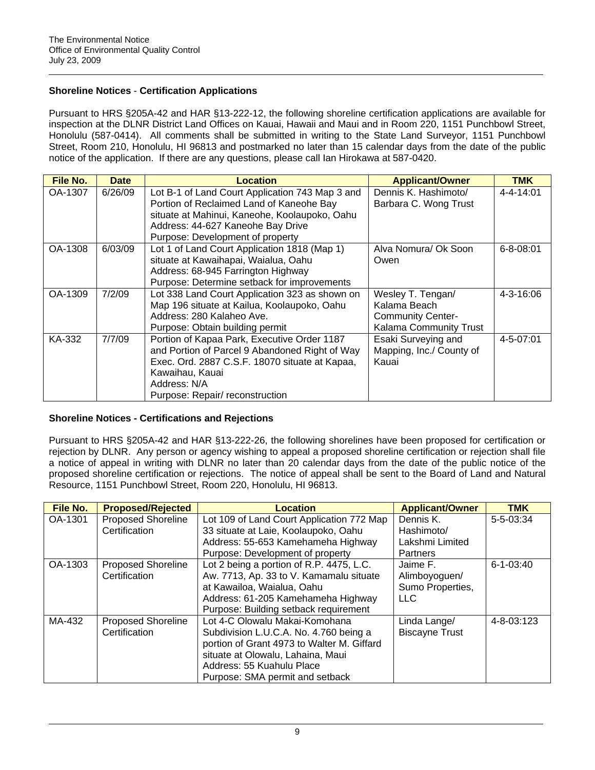# **Shoreline Notices** - **Certification Applications**

Pursuant to HRS §205A-42 and HAR §13-222-12, the following shoreline certification applications are available for inspection at the DLNR District Land Offices on Kauai, Hawaii and Maui and in Room 220, 1151 Punchbowl Street, Honolulu (587-0414). All comments shall be submitted in writing to the State Land Surveyor, 1151 Punchbowl Street, Room 210, Honolulu, HI 96813 and postmarked no later than 15 calendar days from the date of the public notice of the application. If there are any questions, please call Ian Hirokawa at 587-0420.

| File No. | <b>Date</b> | Location                                        | <b>Applicant/Owner</b>   | <b>TMK</b>      |
|----------|-------------|-------------------------------------------------|--------------------------|-----------------|
| OA-1307  | 6/26/09     | Lot B-1 of Land Court Application 743 Map 3 and | Dennis K. Hashimoto/     | $4 - 4 - 14:01$ |
|          |             | Portion of Reclaimed Land of Kaneohe Bay        | Barbara C. Wong Trust    |                 |
|          |             | situate at Mahinui, Kaneohe, Koolaupoko, Oahu   |                          |                 |
|          |             | Address: 44-627 Kaneohe Bay Drive               |                          |                 |
|          |             | Purpose: Development of property                |                          |                 |
| OA-1308  | 6/03/09     | Lot 1 of Land Court Application 1818 (Map 1)    | Alva Nomura/ Ok Soon     | $6 - 8 - 08:01$ |
|          |             | situate at Kawaihapai, Waialua, Oahu            | Owen                     |                 |
|          |             | Address: 68-945 Farrington Highway              |                          |                 |
|          |             | Purpose: Determine setback for improvements     |                          |                 |
| OA-1309  | 7/2/09      | Lot 338 Land Court Application 323 as shown on  | Wesley T. Tengan/        | $4 - 3 - 16:06$ |
|          |             | Map 196 situate at Kailua, Koolaupoko, Oahu     | Kalama Beach             |                 |
|          |             | Address: 280 Kalaheo Ave.                       | <b>Community Center-</b> |                 |
|          |             | Purpose: Obtain building permit                 | Kalama Community Trust   |                 |
| KA-332   | 7/7/09      | Portion of Kapaa Park, Executive Order 1187     | Esaki Surveying and      | 4-5-07:01       |
|          |             | and Portion of Parcel 9 Abandoned Right of Way  | Mapping, Inc./ County of |                 |
|          |             | Exec. Ord. 2887 C.S.F. 18070 situate at Kapaa,  | Kauai                    |                 |
|          |             | Kawaihau, Kauai                                 |                          |                 |
|          |             | Address: N/A                                    |                          |                 |
|          |             | Purpose: Repair/ reconstruction                 |                          |                 |

# **Shoreline Notices - Certifications and Rejections**

Pursuant to HRS §205A-42 and HAR §13-222-26, the following shorelines have been proposed for certification or rejection by DLNR. Any person or agency wishing to appeal a proposed shoreline certification or rejection shall file a notice of appeal in writing with DLNR no later than 20 calendar days from the date of the public notice of the proposed shoreline certification or rejections. The notice of appeal shall be sent to the Board of Land and Natural Resource, 1151 Punchbowl Street, Room 220, Honolulu, HI 96813.

| File No. | <b>Proposed/Rejected</b>  | <b>Location</b>                            | <b>Applicant/Owner</b> | <b>TMK</b>      |
|----------|---------------------------|--------------------------------------------|------------------------|-----------------|
| OA-1301  | <b>Proposed Shoreline</b> | Lot 109 of Land Court Application 772 Map  | Dennis K.              | $5 - 5 - 03:34$ |
|          | Certification             | 33 situate at Laie, Koolaupoko, Oahu       | Hashimoto/             |                 |
|          |                           | Address: 55-653 Kamehameha Highway         | Lakshmi Limited        |                 |
|          |                           | Purpose: Development of property           | Partners               |                 |
| OA-1303  | <b>Proposed Shoreline</b> | Lot 2 being a portion of R.P. 4475, L.C.   | Jaime F.               | $6 - 1 - 03:40$ |
|          | Certification             | Aw. 7713, Ap. 33 to V. Kamamalu situate    | Alimboyoguen/          |                 |
|          |                           | at Kawailoa, Waialua, Oahu                 | Sumo Properties,       |                 |
|          |                           | Address: 61-205 Kamehameha Highway         | <b>LLC</b>             |                 |
|          |                           | Purpose: Building setback requirement      |                        |                 |
| MA-432   | <b>Proposed Shoreline</b> | Lot 4-C Olowalu Makai-Komohana             | Linda Lange/           | 4-8-03:123      |
|          | Certification             | Subdivision L.U.C.A. No. 4.760 being a     | <b>Biscayne Trust</b>  |                 |
|          |                           | portion of Grant 4973 to Walter M. Giffard |                        |                 |
|          |                           | situate at Olowalu, Lahaina, Maui          |                        |                 |
|          |                           | Address: 55 Kuahulu Place                  |                        |                 |
|          |                           | Purpose: SMA permit and setback            |                        |                 |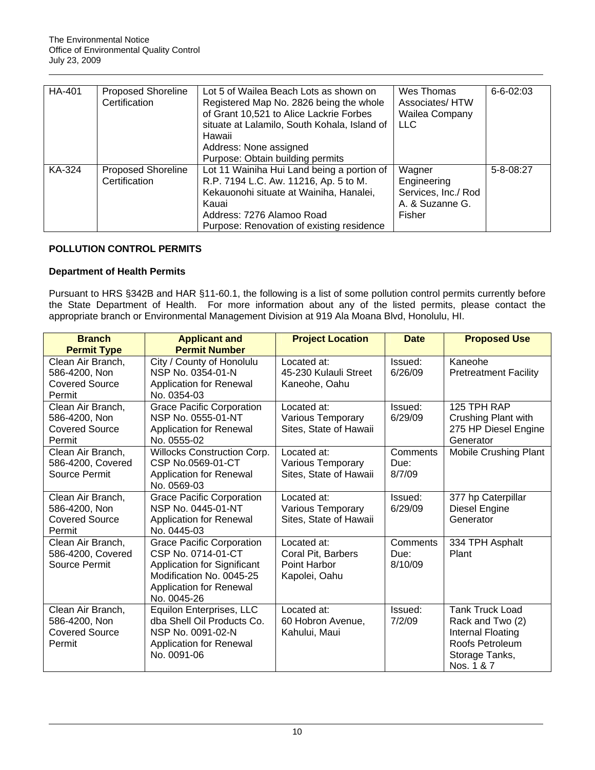| HA-401 | <b>Proposed Shoreline</b><br>Certification | Lot 5 of Wailea Beach Lots as shown on<br>Registered Map No. 2826 being the whole<br>of Grant 10,521 to Alice Lackrie Forbes<br>situate at Lalamilo, South Kohala, Island of<br>Hawaii<br>Address: None assigned<br>Purpose: Obtain building permits | Wes Thomas<br>Associates/HTW<br>Wailea Company<br><b>LLC</b>              | $6 - 6 - 02:03$ |
|--------|--------------------------------------------|------------------------------------------------------------------------------------------------------------------------------------------------------------------------------------------------------------------------------------------------------|---------------------------------------------------------------------------|-----------------|
| KA-324 | <b>Proposed Shoreline</b><br>Certification | Lot 11 Wainiha Hui Land being a portion of<br>R.P. 7194 L.C. Aw. 11216, Ap. 5 to M.<br>Kekauonohi situate at Wainiha, Hanalei,<br>Kauai<br>Address: 7276 Alamoo Road<br>Purpose: Renovation of existing residence                                    | Wagner<br>Engineering<br>Services, Inc./ Rod<br>A. & Suzanne G.<br>Fisher | 5-8-08:27       |

# **POLLUTION CONTROL PERMITS**

# **Department of Health Permits**

Pursuant to HRS §342B and HAR §11-60.1, the following is a list of some pollution control permits currently before the State Department of Health. For more information about any of the listed permits, please contact the appropriate branch or Environmental Management Division at 919 Ala Moana Blvd, Honolulu, HI.

| <b>Branch</b>         | <b>Applicant and</b>             | <b>Project Location</b> | <b>Date</b> | <b>Proposed Use</b>          |
|-----------------------|----------------------------------|-------------------------|-------------|------------------------------|
| <b>Permit Type</b>    | <b>Permit Number</b>             |                         |             |                              |
| Clean Air Branch,     | City / County of Honolulu        | Located at:             | Issued:     | Kaneohe                      |
| 586-4200, Non         | NSP No. 0354-01-N                | 45-230 Kulauli Street   | 6/26/09     | <b>Pretreatment Facility</b> |
| <b>Covered Source</b> | Application for Renewal          | Kaneohe, Oahu           |             |                              |
| Permit                | No. 0354-03                      |                         |             |                              |
| Clean Air Branch,     | <b>Grace Pacific Corporation</b> | Located at:             | Issued:     | 125 TPH RAP                  |
| 586-4200, Non         | NSP No. 0555-01-NT               | Various Temporary       | 6/29/09     | Crushing Plant with          |
| <b>Covered Source</b> | Application for Renewal          | Sites, State of Hawaii  |             | 275 HP Diesel Engine         |
| Permit                | No. 0555-02                      |                         |             | Generator                    |
| Clean Air Branch,     | Willocks Construction Corp.      | Located at:             | Comments    | Mobile Crushing Plant        |
| 586-4200, Covered     | CSP No.0569-01-CT                | Various Temporary       | Due:        |                              |
| Source Permit         | Application for Renewal          | Sites, State of Hawaii  | 8/7/09      |                              |
|                       | No. 0569-03                      |                         |             |                              |
| Clean Air Branch,     | <b>Grace Pacific Corporation</b> | Located at:             | Issued:     | 377 hp Caterpillar           |
| 586-4200, Non         | NSP No. 0445-01-NT               | Various Temporary       | 6/29/09     | Diesel Engine                |
| <b>Covered Source</b> | <b>Application for Renewal</b>   | Sites, State of Hawaii  |             | Generator                    |
| Permit                | No. 0445-03                      |                         |             |                              |
| Clean Air Branch,     | <b>Grace Pacific Corporation</b> | Located at:             | Comments    | 334 TPH Asphalt              |
| 586-4200, Covered     | CSP No. 0714-01-CT               | Coral Pit, Barbers      | Due:        | Plant                        |
| Source Permit         | Application for Significant      | Point Harbor            | 8/10/09     |                              |
|                       | Modification No. 0045-25         | Kapolei, Oahu           |             |                              |
|                       | Application for Renewal          |                         |             |                              |
|                       | No. 0045-26                      |                         |             |                              |
| Clean Air Branch,     | Equilon Enterprises, LLC         | Located at:             | Issued:     | <b>Tank Truck Load</b>       |
| 586-4200, Non         | dba Shell Oil Products Co.       | 60 Hobron Avenue,       | 7/2/09      | Rack and Two (2)             |
| <b>Covered Source</b> | NSP No. 0091-02-N                | Kahului, Maui           |             | Internal Floating            |
| Permit                | <b>Application for Renewal</b>   |                         |             | Roofs Petroleum              |
|                       | No. 0091-06                      |                         |             | Storage Tanks,               |
|                       |                                  |                         |             | Nos. 1 & 7                   |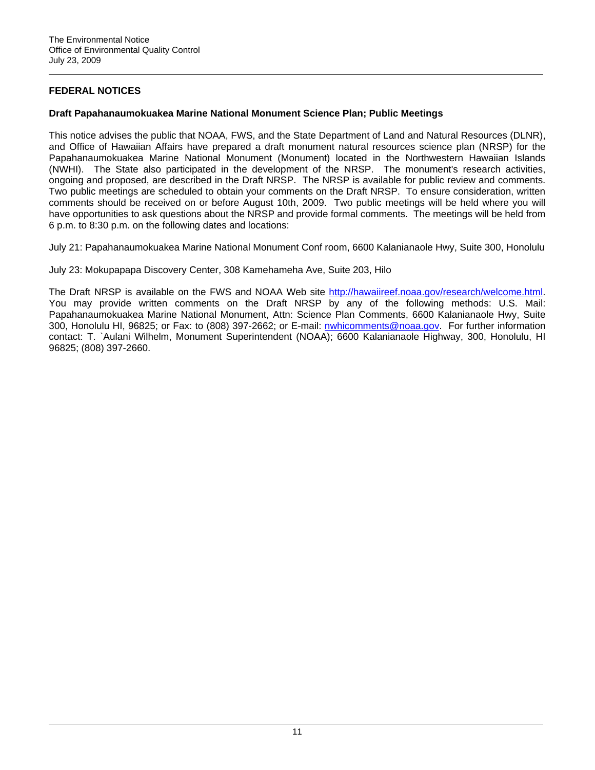# **FEDERAL NOTICES**

## **Draft Papahanaumokuakea Marine National Monument Science Plan; Public Meetings**

This notice advises the public that NOAA, FWS, and the State Department of Land and Natural Resources (DLNR), and Office of Hawaiian Affairs have prepared a draft monument natural resources science plan (NRSP) for the Papahanaumokuakea Marine National Monument (Monument) located in the Northwestern Hawaiian Islands (NWHI). The State also participated in the development of the NRSP. The monument's research activities, ongoing and proposed, are described in the Draft NRSP. The NRSP is available for public review and comments. Two public meetings are scheduled to obtain your comments on the Draft NRSP. To ensure consideration, written comments should be received on or before August 10th, 2009. Two public meetings will be held where you will have opportunities to ask questions about the NRSP and provide formal comments. The meetings will be held from 6 p.m. to 8:30 p.m. on the following dates and locations:

July 21: Papahanaumokuakea Marine National Monument Conf room, 6600 Kalanianaole Hwy, Suite 300, Honolulu

July 23: Mokupapapa Discovery Center, 308 Kamehameha Ave, Suite 203, Hilo

The Draft NRSP is available on the FWS and NOAA Web site [http://hawaiireef.noaa.gov/research/welcome.html.](http://frwebgate.access.gpo.gov/cgi-bin/leaving.cgi?from=leavingFR.html&log=linklog&to=http://hawaiireef.noaa.gov/research/welcome.html) You may provide written comments on the Draft NRSP by any of the following methods: U.S. Mail: Papahanaumokuakea Marine National Monument, Attn: Science Plan Comments, 6600 Kalanianaole Hwy, Suite 300, Honolulu HI, 96825; or Fax: to (808) 397-2662; or E-mail: [nwhicomments@noaa.gov](mailto:nwhicomments@noaa.gov). For further information contact: T. `Aulani Wilhelm, Monument Superintendent (NOAA); 6600 Kalanianaole Highway, 300, Honolulu, HI 96825; (808) 397-2660.